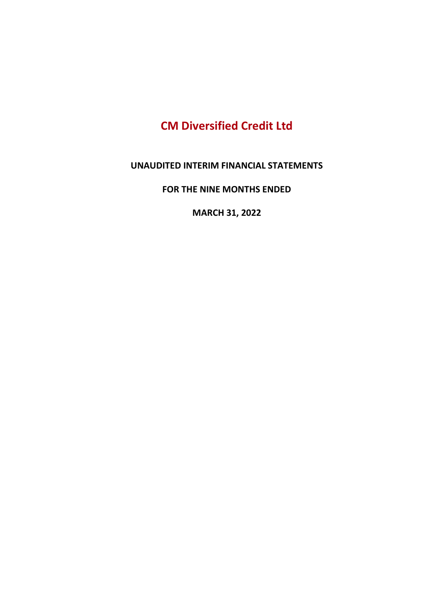# CM Diversified Credit Ltd

#### UNAUDITED INTERIM FINANCIAL STATEMENTS

FOR THE NINE MONTHS ENDED

MARCH 31, 2022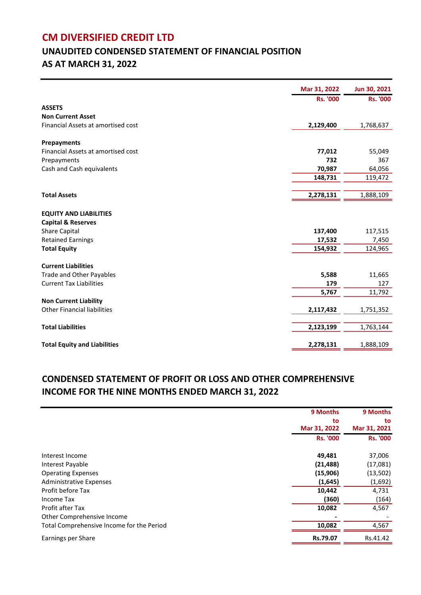## CM DIVERSIFIED CREDIT LTD

# UNAUDITED CONDENSED STATEMENT OF FINANCIAL POSITION AS AT MARCH 31, 2022

| <b>Rs. '000</b><br><b>Rs. '000</b><br><b>ASSETS</b><br><b>Non Current Asset</b><br>Financial Assets at amortised cost<br>2,129,400<br>1,768,637<br>Prepayments<br>Financial Assets at amortised cost<br>77,012<br>55,049<br>732<br>Prepayments<br>367<br>70,987<br>64,056<br>Cash and Cash equivalents<br>148,731<br>119,472<br>2,278,131<br>1,888,109<br><b>Total Assets</b><br><b>EQUITY AND LIABILITIES</b><br><b>Capital &amp; Reserves</b><br><b>Share Capital</b><br>137,400<br>117,515<br><b>Retained Earnings</b><br>17,532<br>7,450<br><b>Total Equity</b><br>154,932<br>124,965<br><b>Current Liabilities</b><br><b>Trade and Other Payables</b><br>5,588<br>11,665<br><b>Current Tax Liabilities</b><br>179<br>127<br>5,767<br>11,792<br><b>Non Current Liability</b><br><b>Other Financial liabilities</b><br>2,117,432<br>1,751,352<br><b>Total Liabilities</b><br>2,123,199<br>1,763,144<br><b>Total Equity and Liabilities</b><br>2,278,131<br>1,888,109 | Mar 31, 2022 | Jun 30, 2021 |
|-------------------------------------------------------------------------------------------------------------------------------------------------------------------------------------------------------------------------------------------------------------------------------------------------------------------------------------------------------------------------------------------------------------------------------------------------------------------------------------------------------------------------------------------------------------------------------------------------------------------------------------------------------------------------------------------------------------------------------------------------------------------------------------------------------------------------------------------------------------------------------------------------------------------------------------------------------------------------|--------------|--------------|
|                                                                                                                                                                                                                                                                                                                                                                                                                                                                                                                                                                                                                                                                                                                                                                                                                                                                                                                                                                         |              |              |
|                                                                                                                                                                                                                                                                                                                                                                                                                                                                                                                                                                                                                                                                                                                                                                                                                                                                                                                                                                         |              |              |
|                                                                                                                                                                                                                                                                                                                                                                                                                                                                                                                                                                                                                                                                                                                                                                                                                                                                                                                                                                         |              |              |
|                                                                                                                                                                                                                                                                                                                                                                                                                                                                                                                                                                                                                                                                                                                                                                                                                                                                                                                                                                         |              |              |
|                                                                                                                                                                                                                                                                                                                                                                                                                                                                                                                                                                                                                                                                                                                                                                                                                                                                                                                                                                         |              |              |
|                                                                                                                                                                                                                                                                                                                                                                                                                                                                                                                                                                                                                                                                                                                                                                                                                                                                                                                                                                         |              |              |
|                                                                                                                                                                                                                                                                                                                                                                                                                                                                                                                                                                                                                                                                                                                                                                                                                                                                                                                                                                         |              |              |
|                                                                                                                                                                                                                                                                                                                                                                                                                                                                                                                                                                                                                                                                                                                                                                                                                                                                                                                                                                         |              |              |
|                                                                                                                                                                                                                                                                                                                                                                                                                                                                                                                                                                                                                                                                                                                                                                                                                                                                                                                                                                         |              |              |
|                                                                                                                                                                                                                                                                                                                                                                                                                                                                                                                                                                                                                                                                                                                                                                                                                                                                                                                                                                         |              |              |
|                                                                                                                                                                                                                                                                                                                                                                                                                                                                                                                                                                                                                                                                                                                                                                                                                                                                                                                                                                         |              |              |
|                                                                                                                                                                                                                                                                                                                                                                                                                                                                                                                                                                                                                                                                                                                                                                                                                                                                                                                                                                         |              |              |
|                                                                                                                                                                                                                                                                                                                                                                                                                                                                                                                                                                                                                                                                                                                                                                                                                                                                                                                                                                         |              |              |
|                                                                                                                                                                                                                                                                                                                                                                                                                                                                                                                                                                                                                                                                                                                                                                                                                                                                                                                                                                         |              |              |
|                                                                                                                                                                                                                                                                                                                                                                                                                                                                                                                                                                                                                                                                                                                                                                                                                                                                                                                                                                         |              |              |
|                                                                                                                                                                                                                                                                                                                                                                                                                                                                                                                                                                                                                                                                                                                                                                                                                                                                                                                                                                         |              |              |
|                                                                                                                                                                                                                                                                                                                                                                                                                                                                                                                                                                                                                                                                                                                                                                                                                                                                                                                                                                         |              |              |
|                                                                                                                                                                                                                                                                                                                                                                                                                                                                                                                                                                                                                                                                                                                                                                                                                                                                                                                                                                         |              |              |
|                                                                                                                                                                                                                                                                                                                                                                                                                                                                                                                                                                                                                                                                                                                                                                                                                                                                                                                                                                         |              |              |
|                                                                                                                                                                                                                                                                                                                                                                                                                                                                                                                                                                                                                                                                                                                                                                                                                                                                                                                                                                         |              |              |
|                                                                                                                                                                                                                                                                                                                                                                                                                                                                                                                                                                                                                                                                                                                                                                                                                                                                                                                                                                         |              |              |
|                                                                                                                                                                                                                                                                                                                                                                                                                                                                                                                                                                                                                                                                                                                                                                                                                                                                                                                                                                         |              |              |
|                                                                                                                                                                                                                                                                                                                                                                                                                                                                                                                                                                                                                                                                                                                                                                                                                                                                                                                                                                         |              |              |
|                                                                                                                                                                                                                                                                                                                                                                                                                                                                                                                                                                                                                                                                                                                                                                                                                                                                                                                                                                         |              |              |
|                                                                                                                                                                                                                                                                                                                                                                                                                                                                                                                                                                                                                                                                                                                                                                                                                                                                                                                                                                         |              |              |
|                                                                                                                                                                                                                                                                                                                                                                                                                                                                                                                                                                                                                                                                                                                                                                                                                                                                                                                                                                         |              |              |
|                                                                                                                                                                                                                                                                                                                                                                                                                                                                                                                                                                                                                                                                                                                                                                                                                                                                                                                                                                         |              |              |
|                                                                                                                                                                                                                                                                                                                                                                                                                                                                                                                                                                                                                                                                                                                                                                                                                                                                                                                                                                         |              |              |

#### CONDENSED STATEMENT OF PROFIT OR LOSS AND OTHER COMPREHENSIVE INCOME FOR THE NINE MONTHS ENDED MARCH 31, 2022

|                                           | 9 Months<br>to  | 9 Months<br>to  |
|-------------------------------------------|-----------------|-----------------|
|                                           | Mar 31, 2022    | Mar 31, 2021    |
|                                           | <b>Rs. '000</b> | <b>Rs. '000</b> |
| Interest Income                           | 49,481          | 37,006          |
| Interest Payable                          | (21, 488)       | (17,081)        |
| <b>Operating Expenses</b>                 | (15,906)        | (13, 502)       |
| Administrative Expenses                   | (1,645)         | (1,692)         |
| Profit before Tax                         | 10,442          | 4,731           |
| <b>Income Tax</b>                         | (360)           | (164)           |
| Profit after Tax                          | 10,082          | 4,567           |
| Other Comprehensive Income                |                 |                 |
| Total Comprehensive Income for the Period | 10,082          | 4,567           |
| Earnings per Share                        | Rs.79.07        | Rs.41.42        |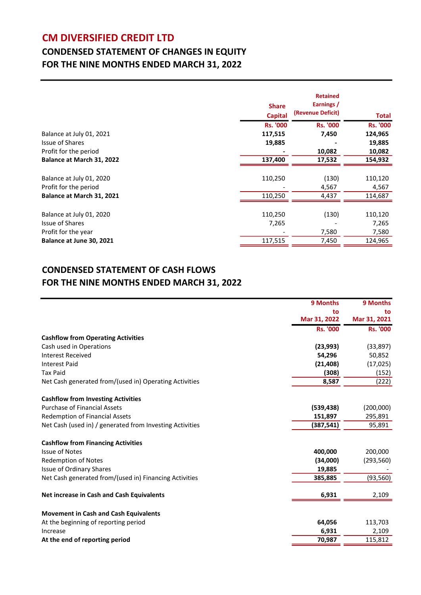### CM DIVERSIFIED CREDIT LTD

## CONDENSED STATEMENT OF CHANGES IN EQUITY FOR THE NINE MONTHS ENDED MARCH 31, 2022

|                           | <b>Share</b><br><b>Capital</b> | <b>Retained</b><br>Earnings /<br>(Revenue Deficit) | Total           |
|---------------------------|--------------------------------|----------------------------------------------------|-----------------|
|                           | <b>Rs. '000</b>                | <b>Rs. '000</b>                                    | <b>Rs. '000</b> |
| Balance at July 01, 2021  | 117,515                        | 7,450                                              | 124,965         |
| Issue of Shares           | 19,885                         |                                                    | 19,885          |
| Profit for the period     |                                | 10,082                                             | 10,082          |
| Balance at March 31, 2022 | 137,400                        | 17,532                                             | 154,932         |
|                           |                                |                                                    |                 |
| Balance at July 01, 2020  | 110,250                        | (130)                                              | 110,120         |
| Profit for the period     |                                | 4,567                                              | 4,567           |
| Balance at March 31, 2021 | 110,250                        | 4,437                                              | 114,687         |
|                           |                                |                                                    |                 |
| Balance at July 01, 2020  | 110,250                        | (130)                                              | 110,120         |
| <b>Issue of Shares</b>    | 7,265                          |                                                    | 7,265           |
| Profit for the year       |                                | 7,580                                              | 7,580           |
| Balance at June 30, 2021  | 117,515                        | 7,450                                              | 124,965         |

#### CONDENSED STATEMENT OF CASH FLOWS FOR THE NINE MONTHS ENDED MARCH 31, 2022

|                                                          | 9 Months        | 9 Months        |
|----------------------------------------------------------|-----------------|-----------------|
|                                                          | to              | to              |
|                                                          | Mar 31, 2022    | Mar 31, 2021    |
|                                                          | <b>Rs. '000</b> | <b>Rs. '000</b> |
| <b>Cashflow from Operating Activities</b>                |                 |                 |
| Cash used in Operations                                  | (23,993)        | (33, 897)       |
| <b>Interest Received</b>                                 | 54,296          | 50,852          |
| <b>Interest Paid</b>                                     | (21, 408)       | (17, 025)       |
| <b>Tax Paid</b>                                          | (308)           | (152)           |
| Net Cash generated from/(used in) Operating Activities   | 8,587           | (222)           |
| <b>Cashflow from Investing Activities</b>                |                 |                 |
| <b>Purchase of Financial Assets</b>                      | (539, 438)      | (200,000)       |
| <b>Redemption of Financial Assets</b>                    | 151,897         | 295,891         |
| Net Cash (used in) / generated from Investing Activities | (387, 541)      | 95,891          |
| <b>Cashflow from Financing Activities</b>                |                 |                 |
| <b>Issue of Notes</b>                                    | 400,000         | 200,000         |
| <b>Redemption of Notes</b>                               | (34,000)        | (293, 560)      |
| <b>Issue of Ordinary Shares</b>                          | 19,885          |                 |
| Net Cash generated from/(used in) Financing Activities   | 385,885         | (93, 560)       |
| <b>Net increase in Cash and Cash Equivalents</b>         | 6,931           | 2,109           |
| <b>Movement in Cash and Cash Equivalents</b>             |                 |                 |
| At the beginning of reporting period                     | 64,056          | 113,703         |
| Increase                                                 | 6,931           | 2,109           |
| At the end of reporting period                           | 70,987          | 115,812         |
|                                                          |                 |                 |